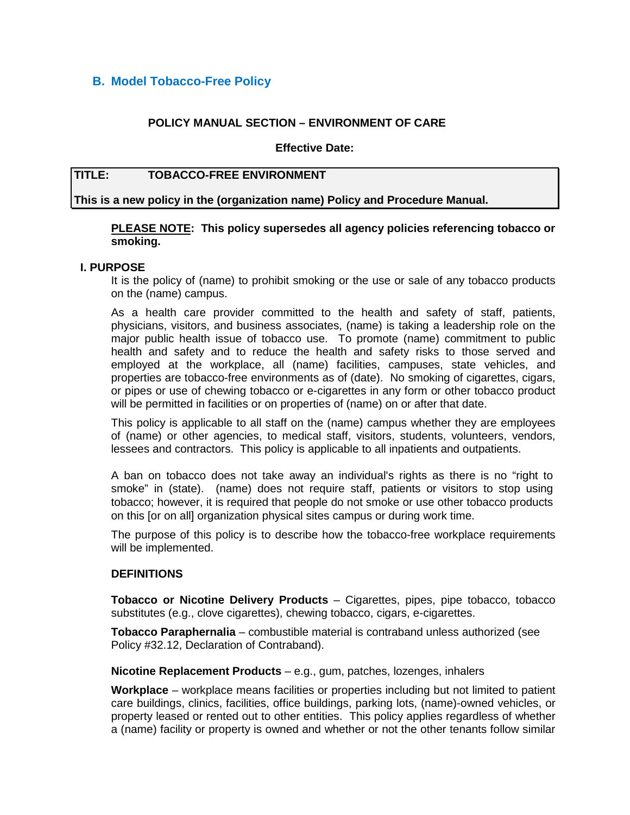# **B. Model Tobacco-Free Policy**

## **POLICY MANUAL SECTION – ENVIRONMENT OF CARE**

#### **Effective Date:**

# **TITLE: TOBACCO-FREE ENVIRONMENT**

**This is a new policy in the (organization name) Policy and Procedure Manual.**

## **PLEASE NOTE: This policy supersedes all agency policies referencing tobacco or smoking.**

#### **I. PURPOSE**

It is the policy of (name) to prohibit smoking or the use or sale of any tobacco products on the (name) campus.

As a health care provider committed to the health and safety of staff, patients, physicians, visitors, and business associates, (name) is taking a leadership role on the major public health issue of tobacco use. To promote (name) commitment to public health and safety and to reduce the health and safety risks to those served and employed at the workplace, all (name) facilities, campuses, state vehicles, and properties are tobacco-free environments as of (date). No smoking of cigarettes, cigars, or pipes or use of chewing tobacco or e-cigarettes in any form or other tobacco product will be permitted in facilities or on properties of (name) on or after that date.

This policy is applicable to all staff on the (name) campus whether they are employees of (name) or other agencies, to medical staff, visitors, students, volunteers, vendors, lessees and contractors. This policy is applicable to all inpatients and outpatients.

A ban on tobacco does not take away an individual's rights as there is no "right to smoke" in (state). (name) does not require staff, patients or visitors to stop using tobacco; however, it is required that people do not smoke or use other tobacco products on this [or on all] organization physical sites campus or during work time.

The purpose of this policy is to describe how the tobacco-free workplace requirements will be implemented.

### **DEFINITIONS**

**Tobacco or Nicotine Delivery Products** – Cigarettes, pipes, pipe tobacco, tobacco substitutes (e.g., clove cigarettes), chewing tobacco, cigars, e-cigarettes.

**Tobacco Paraphernalia** – combustible material is contraband unless authorized (see Policy #32.12, Declaration of Contraband).

**Nicotine Replacement Products** – e.g., gum, patches, lozenges, inhalers

**Workplace** – workplace means facilities or properties including but not limited to patient care buildings, clinics, facilities, office buildings, parking lots, (name)-owned vehicles, or property leased or rented out to other entities. This policy applies regardless of whether a (name) facility or property is owned and whether or not the other tenants follow similar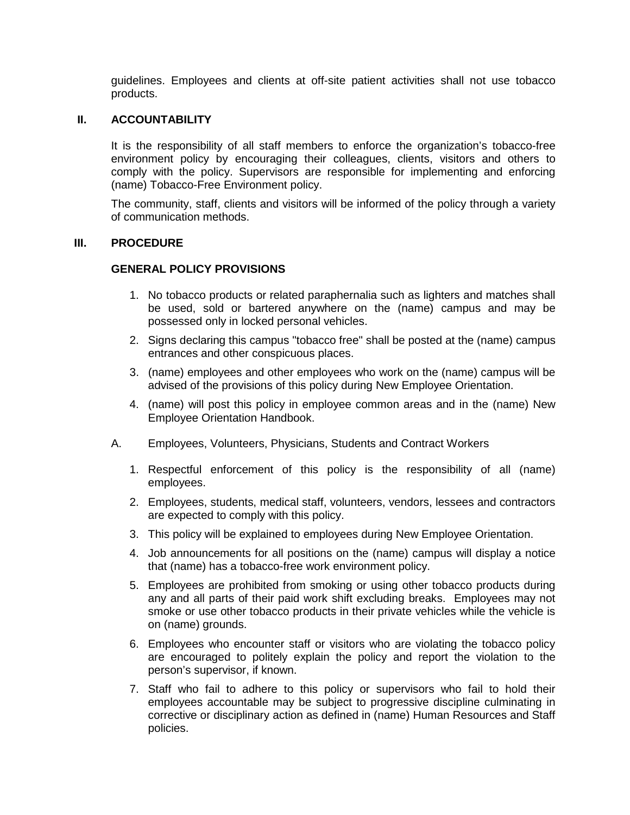guidelines. Employees and clients at off-site patient activities shall not use tobacco products.

# **II. ACCOUNTABILITY**

It is the responsibility of all staff members to enforce the organization's tobacco-free environment policy by encouraging their colleagues, clients, visitors and others to comply with the policy. Supervisors are responsible for implementing and enforcing (name) Tobacco-Free Environment policy.

The community, staff, clients and visitors will be informed of the policy through a variety of communication methods.

### **III. PROCEDURE**

### **GENERAL POLICY PROVISIONS**

- 1. No tobacco products or related paraphernalia such as lighters and matches shall be used, sold or bartered anywhere on the (name) campus and may be possessed only in locked personal vehicles.
- 2. Signs declaring this campus "tobacco free" shall be posted at the (name) campus entrances and other conspicuous places.
- 3. (name) employees and other employees who work on the (name) campus will be advised of the provisions of this policy during New Employee Orientation.
- 4. (name) will post this policy in employee common areas and in the (name) New Employee Orientation Handbook.
- A. Employees, Volunteers, Physicians, Students and Contract Workers
	- 1. Respectful enforcement of this policy is the responsibility of all (name) employees.
	- 2. Employees, students, medical staff, volunteers, vendors, lessees and contractors are expected to comply with this policy.
	- 3. This policy will be explained to employees during New Employee Orientation.
	- 4. Job announcements for all positions on the (name) campus will display a notice that (name) has a tobacco-free work environment policy.
	- 5. Employees are prohibited from smoking or using other tobacco products during any and all parts of their paid work shift excluding breaks. Employees may not smoke or use other tobacco products in their private vehicles while the vehicle is on (name) grounds.
	- 6. Employees who encounter staff or visitors who are violating the tobacco policy are encouraged to politely explain the policy and report the violation to the person's supervisor, if known.
	- 7. Staff who fail to adhere to this policy or supervisors who fail to hold their employees accountable may be subject to progressive discipline culminating in corrective or disciplinary action as defined in (name) Human Resources and Staff policies.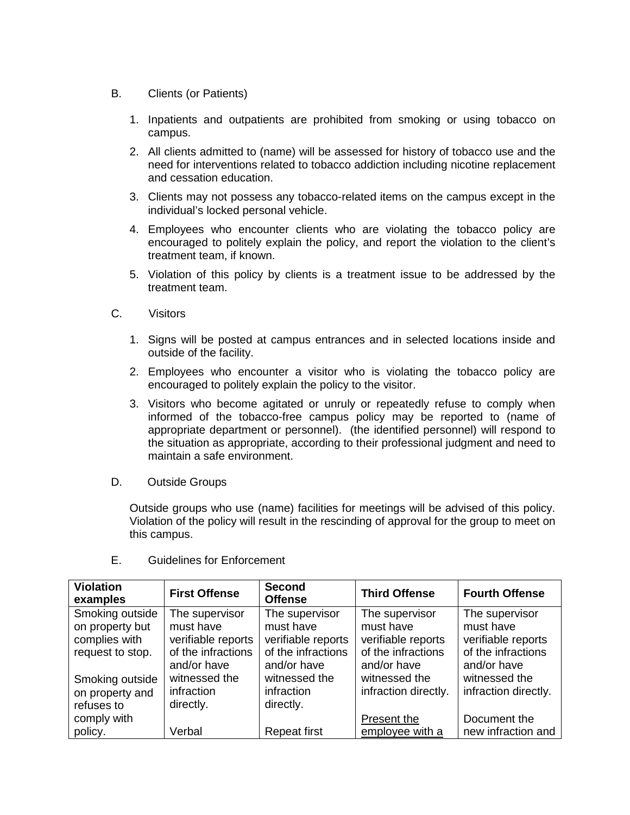- B. Clients (or Patients)
	- 1. Inpatients and outpatients are prohibited from smoking or using tobacco on campus.
	- 2. All clients admitted to (name) will be assessed for history of tobacco use and the need for interventions related to tobacco addiction including nicotine replacement and cessation education.
	- 3. Clients may not possess any tobacco-related items on the campus except in the individual's locked personal vehicle.
	- 4. Employees who encounter clients who are violating the tobacco policy are encouraged to politely explain the policy, and report the violation to the client's treatment team, if known.
	- 5. Violation of this policy by clients is a treatment issue to be addressed by the treatment team.
- C. Visitors
	- 1. Signs will be posted at campus entrances and in selected locations inside and outside of the facility.
	- 2. Employees who encounter a visitor who is violating the tobacco policy are encouraged to politely explain the policy to the visitor.
	- 3. Visitors who become agitated or unruly or repeatedly refuse to comply when informed of the tobacco-free campus policy may be reported to (name of appropriate department or personnel). (the identified personnel) will respond to the situation as appropriate, according to their professional judgment and need to maintain a safe environment.
- D. Outside Groups

Outside groups who use (name) facilities for meetings will be advised of this policy. Violation of the policy will result in the rescinding of approval for the group to meet on this campus.

| <b>Violation</b><br>examples | <b>First Offense</b> | <b>Second</b><br><b>Offense</b> | <b>Third Offense</b> | <b>Fourth Offense</b> |
|------------------------------|----------------------|---------------------------------|----------------------|-----------------------|
| Smoking outside              | The supervisor       | The supervisor                  | The supervisor       | The supervisor        |
| on property but              | must have            | must have                       | must have            | must have             |
| complies with                | verifiable reports   | verifiable reports              | verifiable reports   | verifiable reports    |
| request to stop.             | of the infractions   | of the infractions              | of the infractions   | of the infractions    |
|                              | and/or have          | and/or have                     | and/or have          | and/or have           |
| Smoking outside              | witnessed the        | witnessed the                   | witnessed the        | witnessed the         |
| on property and              | infraction           | infraction                      | infraction directly. | infraction directly.  |
| refuses to                   | directly.            | directly.                       |                      |                       |
| comply with                  |                      |                                 | Present the          | Document the          |
| policy.                      | Verbal               | <b>Repeat first</b>             | employee with a      | new infraction and    |

E. Guidelines for Enforcement